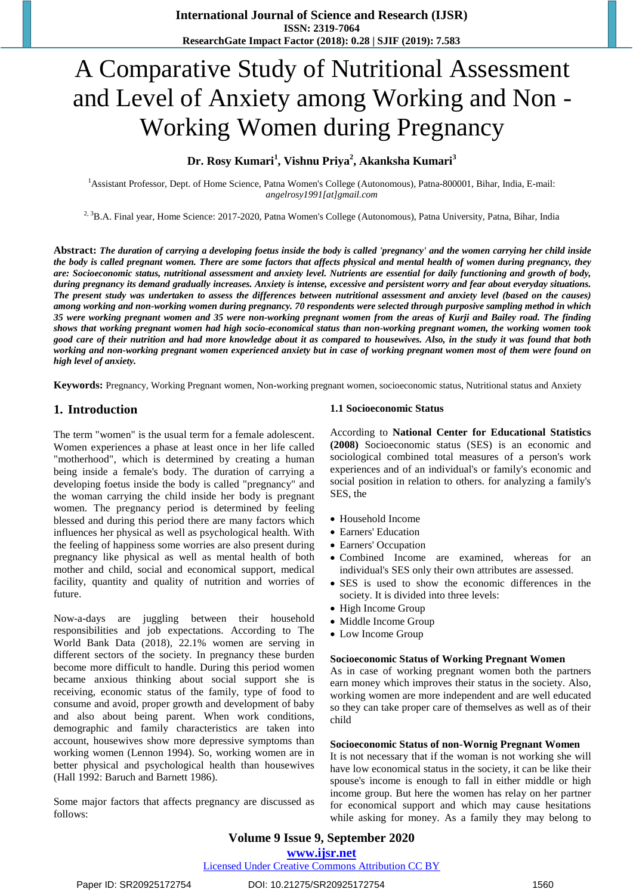# A Comparative Study of Nutritional Assessment and Level of Anxiety among Working and Non - Working Women during Pregnancy

# **Dr. Rosy Kumari<sup>1</sup> , Vishnu Priya<sup>2</sup> , Akanksha Kumari<sup>3</sup>**

<sup>1</sup>Assistant Professor, Dept. of Home Science, Patna Women's College (Autonomous), Patna-800001, Bihar, India, E-mail: *[angelrosy1991\[at\]gmail.com](mailto:angelrosy1991@gmail.com)*

<sup>2, 3</sup>B.A. Final year, Home Science: 2017-2020, Patna Women's College (Autonomous), Patna University, Patna, Bihar, India

Abstract: The duration of carrying a developing foetus inside the body is called 'pregnancy' and the women carrying her child inside the body is called pregnant women. There are some factors that affects physical and mental health of women during pregnancy, they are: Socioeconomic status, nutritional assessment and anxiety level. Nutrients are essential for daily functioning and growth of body, during pregnancy its demand gradually increases. Anxiety is intense, excessive and persistent worry and fear about everyday situations. The present study was undertaken to assess the differences between nutritional assessment and anxiety level (based on the causes) among working and non-working women during pregnancy. 70 respondents were selected through purposive sampling method in which 35 were working pregnant women and 35 were non-working pregnant women from the areas of Kurji and Bailey road. The finding shows that working pregnant women had high socio-economical status than non-working pregnant women, the working women took good care of their nutrition and had more knowledge about it as compared to housewives. Also, in the study it was found that both working and non-working pregnant women experienced anxiety but in case of working pregnant women most of them were found on *high level of anxiety.*

**Keywords:** Pregnancy, Working Pregnant women, Non-working pregnant women, socioeconomic status, Nutritional status and Anxiety

# **1. Introduction**

The term "women" is the usual term for a female adolescent. Women experiences a phase at least once in her life called "motherhood", which is determined by creating a human being inside a female's body. The duration of carrying a developing foetus inside the body is called "pregnancy" and the woman carrying the child inside her body is pregnant women. The pregnancy period is determined by feeling blessed and during this period there are many factors which influences her physical as well as psychological health. With the feeling of happiness some worries are also present during pregnancy like physical as well as mental health of both mother and child, social and economical support, medical facility, quantity and quality of nutrition and worries of future.

Now-a-days are juggling between their household responsibilities and job expectations. According to The World Bank Data (2018), 22.1% women are serving in different sectors of the society. In pregnancy these burden become more difficult to handle. During this period women became anxious thinking about social support she is receiving, economic status of the family, type of food to consume and avoid, proper growth and development of baby and also about being parent. When work conditions, demographic and family characteristics are taken into account, housewives show more depressive symptoms than working women (Lennon 1994). So, working women are in better physical and psychological health than housewives (Hall 1992: Baruch and Barnett 1986).

Some major factors that affects pregnancy are discussed as follows:

#### **1.1 Socioeconomic Status**

According to **National Center for Educational Statistics (2008)** Socioeconomic status (SES) is an economic and sociological combined total measures of a person's work experiences and of an individual's or family's economic and social position in relation to others. for analyzing a family's SES, the

- Household Income
- Earners' Education
- Earners' Occupation
- Combined Income are examined, whereas for an individual's SES only their own attributes are assessed.
- SES is used to show the economic differences in the society. It is divided into three levels:
- High Income Group
- Middle Income Group
- Low Income Group

#### **Socioeconomic Status of Working Pregnant Women**

As in case of working pregnant women both the partners earn money which improves their status in the society. Also, working women are more independent and are well educated so they can take proper care of themselves as well as of their child

#### **Socioeconomic Status of non-Wornig Pregnant Women**

It is not necessary that if the woman is not working she will have low economical status in the society, it can be like their spouse's income is enough to fall in either middle or high income group. But here the women has relay on her partner for economical support and which may cause hesitations while asking for money. As a family they may belong to

**Volume 9 Issue 9, September 2020 www.ijsr.net**

Licensed Under Creative Commons Attribution CC BY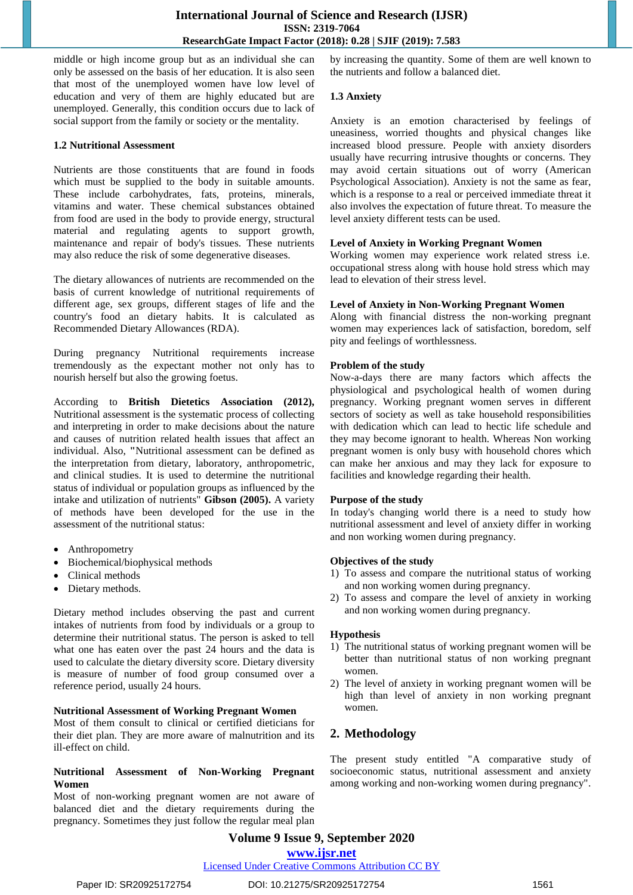middle or high income group but as an individual she can only be assessed on the basis of her education. It is also seen that most of the unemployed women have low level of education and very of them are highly educated but are unemployed. Generally, this condition occurs due to lack of social support from the family or society or the mentality.

## **1.2 Nutritional Assessment**

Nutrients are those constituents that are found in foods which must be supplied to the body in suitable amounts. These include carbohydrates, fats, proteins, minerals, vitamins and water. These chemical substances obtained from food are used in the body to provide energy, structural material and regulating agents to support growth, maintenance and repair of body's tissues. These nutrients may also reduce the risk of some degenerative diseases.

The dietary allowances of nutrients are recommended on the basis of current knowledge of nutritional requirements of different age, sex groups, different stages of life and the country's food an dietary habits. It is calculated as Recommended Dietary Allowances (RDA).

During pregnancy Nutritional requirements increase tremendously as the expectant mother not only has to nourish herself but also the growing foetus.

According to **British Dietetics Association (2012),** Nutritional assessment is the systematic process of collecting and interpreting in order to make decisions about the nature and causes of nutrition related health issues that affect an individual. Also, **"**Nutritional assessment can be defined as the interpretation from dietary, laboratory, anthropometric, and clinical studies. It is used to determine the nutritional status of individual or population groups as influenced by the intake and utilization of nutrients" **Gibson (2005).** A variety of methods have been developed for the use in the assessment of the nutritional status:

- Anthropometry
- Biochemical/biophysical methods
- Clinical methods
- Dietary methods.

Dietary method includes observing the past and current intakes of nutrients from food by individuals or a group to determine their nutritional status. The person is asked to tell what one has eaten over the past 24 hours and the data is used to calculate the dietary diversity score. Dietary diversity is measure of number of food group consumed over a reference period, usually 24 hours.

## **Nutritional Assessment of Working Pregnant Women**

Most of them consult to clinical or certified dieticians for their diet plan. They are more aware of malnutrition and its ill-effect on child.

## **Nutritional Assessment of Non-Working Pregnant Women**

Most of non-working pregnant women are not aware of balanced diet and the dietary requirements during the pregnancy. Sometimes they just follow the regular meal plan by increasing the quantity. Some of them are well known to the nutrients and follow a balanced diet.

#### **1.3 Anxiety**

Anxiety is an emotion characterised by feelings of uneasiness, worried thoughts and physical changes like increased blood pressure. People with anxiety disorders usually have recurring intrusive thoughts or concerns. They may avoid certain situations out of worry (American Psychological Association). Anxiety is not the same as fear, which is a response to a real or perceived immediate threat it also involves the expectation of future threat. To measure the level anxiety different tests can be used.

## **Level of Anxiety in Working Pregnant Women**

Working women may experience work related stress i.e. occupational stress along with house hold stress which may lead to elevation of their stress level.

#### **Level of Anxiety in Non-Working Pregnant Women**

Along with financial distress the non-working pregnant women may experiences lack of satisfaction, boredom, self pity and feelings of worthlessness.

#### **Problem of the study**

Now-a-days there are many factors which affects the physiological and psychological health of women during pregnancy. Working pregnant women serves in different sectors of society as well as take household responsibilities with dedication which can lead to hectic life schedule and they may become ignorant to health. Whereas Non working pregnant women is only busy with household chores which can make her anxious and may they lack for exposure to facilities and knowledge regarding their health.

## **Purpose of the study**

In today's changing world there is a need to study how nutritional assessment and level of anxiety differ in working and non working women during pregnancy.

#### **Objectives of the study**

- 1) To assess and compare the nutritional status of working and non working women during pregnancy.
- 2) To assess and compare the level of anxiety in working and non working women during pregnancy.

## **Hypothesis**

- 1) The nutritional status of working pregnant women will be better than nutritional status of non working pregnant women.
- 2) The level of anxiety in working pregnant women will be high than level of anxiety in non working pregnant women.

# **2. Methodology**

The present study entitled "A comparative study of socioeconomic status, nutritional assessment and anxiety among working and non-working women during pregnancy".

**Volume 9 Issue 9, September 2020**

**www.ijsr.net**

## Licensed Under Creative Commons Attribution CC BY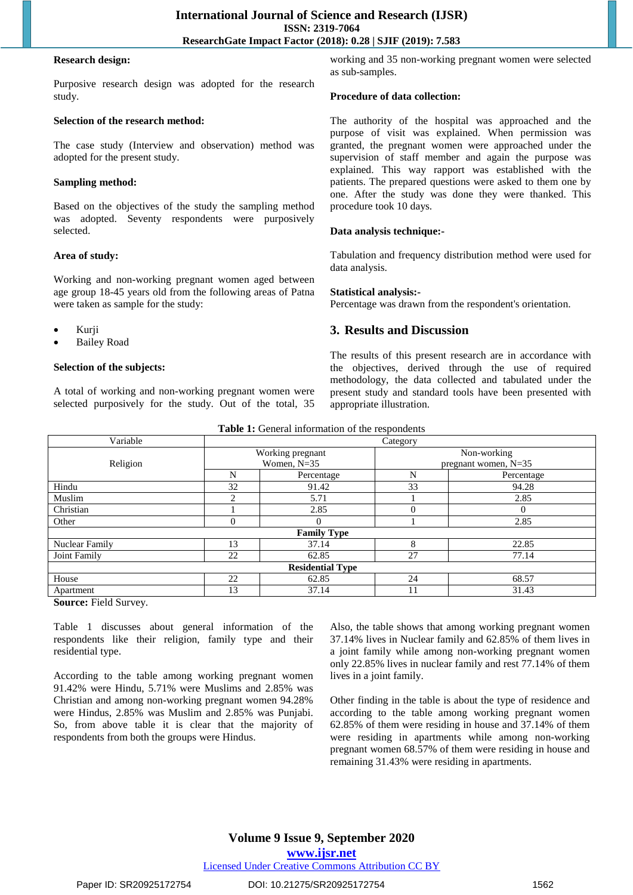#### **Research design:**

Purposive research design was adopted for the research study.

# **Selection of the research method:**

The case study (Interview and observation) method was adopted for the present study.

## **Sampling method:**

Based on the objectives of the study the sampling method was adopted. Seventy respondents were purposively selected.

## **Area of study:**

Working and non-working pregnant women aged between age group 18-45 years old from the following areas of Patna were taken as sample for the study:

- Kurji
- Bailey Road

## **Selection of the subjects:**

A total of working and non-working pregnant women were selected purposively for the study. Out of the total, 35 working and 35 non-working pregnant women were selected as sub-samples.

#### **Procedure of data collection:**

The authority of the hospital was approached and the purpose of visit was explained. When permission was granted, the pregnant women were approached under the supervision of staff member and again the purpose was explained. This way rapport was established with the patients. The prepared questions were asked to them one by one. After the study was done they were thanked. This procedure took 10 days.

## **Data analysis technique:-**

Tabulation and frequency distribution method were used for data analysis.

#### **Statistical analysis:-**

Percentage was drawn from the respondent's orientation.

# **3. Results and Discussion**

The results of this present research are in accordance with the objectives, derived through the use of required methodology, the data collected and tabulated under the present study and standard tools have been presented with appropriate illustration.

|  |  |  |  | Table 1: General information of the respondents |
|--|--|--|--|-------------------------------------------------|
|--|--|--|--|-------------------------------------------------|

| Variable                     | Category |                         |                                       |            |  |
|------------------------------|----------|-------------------------|---------------------------------------|------------|--|
|                              |          | Working pregnant        | Non-working<br>pregnant women, $N=35$ |            |  |
| Religion                     |          | Women, $N=35$           |                                       |            |  |
|                              | N        | Percentage              | N                                     | Percentage |  |
| Hindu                        | 32       | 91.42                   | 33                                    | 94.28      |  |
| Muslim                       | ↑        | 5.71                    |                                       | 2.85       |  |
| Christian                    |          | 2.85                    |                                       |            |  |
| Other                        | $\Omega$ |                         |                                       | 2.85       |  |
|                              |          | <b>Family Type</b>      |                                       |            |  |
| Nuclear Family               | 13       | 37.14                   | 8                                     | 22.85      |  |
| Joint Family                 | 22       | 62.85                   | 27                                    | 77.14      |  |
|                              |          | <b>Residential Type</b> |                                       |            |  |
| House                        | 22       | 62.85                   | 24                                    | 68.57      |  |
| Apartment                    | 13       | 37.14                   | 11                                    | 31.43      |  |
| and the contract of the con- |          |                         |                                       |            |  |

**Source:** Field Survey.

Table 1 discusses about general information of the respondents like their religion, family type and their residential type.

According to the table among working pregnant women 91.42% were Hindu, 5.71% were Muslims and 2.85% was Christian and among non-working pregnant women 94.28% were Hindus, 2.85% was Muslim and 2.85% was Punjabi. So, from above table it is clear that the majority of respondents from both the groups were Hindus.

Also, the table shows that among working pregnant women 37.14% lives in Nuclear family and 62.85% of them lives in a joint family while among non-working pregnant women only 22.85% lives in nuclear family and rest 77.14% of them lives in a joint family.

Other finding in the table is about the type of residence and according to the table among working pregnant women 62.85% of them were residing in house and 37.14% of them were residing in apartments while among non-working pregnant women 68.57% of them were residing in house and remaining 31.43% were residing in apartments.

# **Volume 9 Issue 9, September 2020 www.ijsr.net**

# Licensed Under Creative Commons Attribution CC BY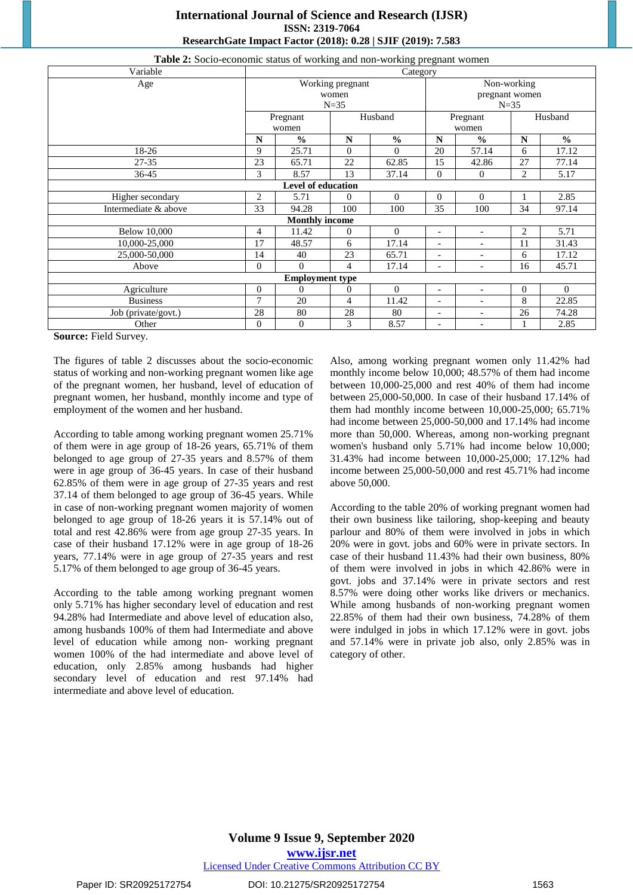# **International Journal of Science and Research (IJSR) ISSN: 2319-7064 ResearchGate Impact Factor (2018): 0.28 | SJIF (2019): 7.583**

| Variable               | Category     |                                 |                |               |                          |                              |                |               |  |
|------------------------|--------------|---------------------------------|----------------|---------------|--------------------------|------------------------------|----------------|---------------|--|
| Age                    |              | Non-working<br>Working pregnant |                |               |                          |                              |                |               |  |
|                        |              |                                 | women          |               |                          | pregnant women               |                |               |  |
|                        |              |                                 | $N=35$         |               |                          | $N=35$                       |                |               |  |
|                        |              | Pregnant                        |                | Husband       |                          | Pregnant                     |                | Husband       |  |
|                        |              | women                           |                |               | women                    |                              |                |               |  |
|                        | N            | $\frac{0}{0}$                   | $\mathbf N$    | $\frac{0}{0}$ | N                        | $\frac{0}{0}$                | N              | $\frac{0}{0}$ |  |
| 18-26                  | 9            | 25.71                           | $\Omega$       | $\Omega$      | 20                       | 57.14                        | 6              | 17.12         |  |
| $27 - 35$              | 23           | 65.71                           | 22             | 62.85         | 15                       | 42.86                        | 27             | 77.14         |  |
| 36-45                  | 3            | 8.57                            | 13             | 37.14         | $\theta$                 | $\theta$                     | $\overline{c}$ | 5.17          |  |
|                        |              | Level of education              |                |               |                          |                              |                |               |  |
| Higher secondary       | 2            | 5.71                            | 0              | $\Omega$      | $\mathbf{0}$             | $\overline{0}$               |                | 2.85          |  |
| Intermediate & above   | 33           | 94.28                           | 100            | 100           | 35                       | 100                          | 34             | 97.14         |  |
|                        |              | <b>Monthly income</b>           |                |               |                          |                              |                |               |  |
| <b>Below 10,000</b>    | 4            | 11.42                           | $\overline{0}$ | $\Omega$      | $\overline{\phantom{a}}$ | $\blacksquare$               | $\overline{c}$ | 5.71          |  |
| 10,000-25,000          | 17           | 48.57                           | 6              | 17.14         | $\overline{\phantom{a}}$ | $\overline{a}$               | 11             | 31.43         |  |
| 25,000-50,000          | 14           | 40                              | 23             | 65.71         | $\overline{\phantom{a}}$ | $\overline{a}$               | 6              | 17.12         |  |
| Above                  | $\Omega$     | $\Omega$                        | 4              | 17.14         | ۰                        | $\overline{\phantom{0}}$     | 16             | 45.71         |  |
| <b>Employment type</b> |              |                                 |                |               |                          |                              |                |               |  |
| Agriculture            | $\mathbf{0}$ | $\overline{0}$                  | $\overline{0}$ | $\Omega$      | $\blacksquare$           | $\overline{a}$               | $\Omega$       | $\Omega$      |  |
| <b>Business</b>        | $\tau$       | 20                              | 4              | 11.42         | $\overline{a}$           | $\overline{\phantom{a}}$     | 8              | 22.85         |  |
| Job (private/govt.)    | 28           | 80                              | 28             | 80            | ٠                        | $\overline{\phantom{0}}$     | 26             | 74.28         |  |
| Other                  | $\mathbf{0}$ | $\overline{0}$                  | 3              | 8.57          | ٠                        | $\qquad \qquad \blacksquare$ |                | 2.85          |  |

#### **Table 2:** Socio-economic status of working and non-working pregnant women

**Source:** Field Survey.

The figures of table 2 discusses about the socio-economic status of working and non-working pregnant women like age of the pregnant women, her husband, level of education of pregnant women, her husband, monthly income and type of employment of the women and her husband.

According to table among working pregnant women 25.71% of them were in age group of 18-26 years, 65.71% of them belonged to age group of 27-35 years and 8.57% of them were in age group of 36-45 years. In case of their husband 62.85% of them were in age group of 27-35 years and rest 37.14 of them belonged to age group of 36-45 years. While in case of non-working pregnant women majority of women belonged to age group of 18-26 years it is 57.14% out of total and rest 42.86% were from age group 27-35 years. In case of their husband 17.12% were in age group of 18-26 years, 77.14% were in age group of 27-35 years and rest 5.17% of them belonged to age group of 36-45 years.

According to the table among working pregnant women only 5.71% has higher secondary level of education and rest 94.28% had Intermediate and above level of education also, among husbands 100% of them had Intermediate and above level of education while among non- working pregnant women 100% of the had intermediate and above level of education, only 2.85% among husbands had higher secondary level of education and rest 97.14% had intermediate and above level of education.

Also, among working pregnant women only 11.42% had monthly income below 10,000; 48.57% of them had income between 10,000-25,000 and rest 40% of them had income between 25,000-50,000. In case of their husband 17.14% of them had monthly income between 10,000-25,000; 65.71% had income between 25,000-50,000 and 17.14% had income more than 50,000. Whereas, among non-working pregnant women's husband only 5.71% had income below 10,000; 31.43% had income between 10,000-25,000; 17.12% had income between 25,000-50,000 and rest 45.71% had income above 50,000.

According to the table 20% of working pregnant women had their own business like tailoring, shop-keeping and beauty parlour and 80% of them were involved in jobs in which 20% were in govt. jobs and 60% were in private sectors. In case of their husband 11.43% had their own business, 80% of them were involved in jobs in which 42.86% were in govt. jobs and 37.14% were in private sectors and rest 8.57% were doing other works like drivers or mechanics. While among husbands of non-working pregnant women 22.85% of them had their own business, 74.28% of them were indulged in jobs in which 17.12% were in govt. jobs and 57.14% were in private job also, only 2.85% was in category of other.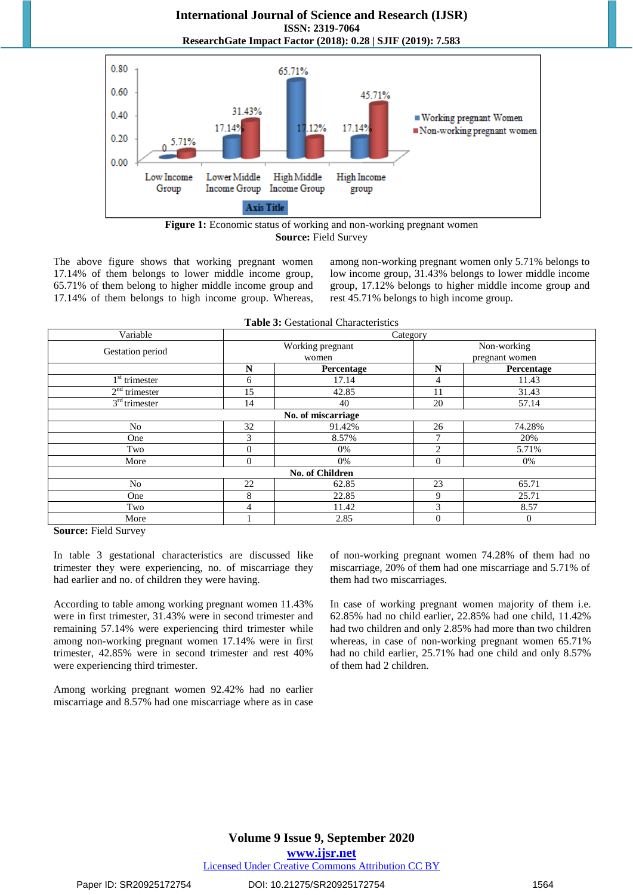# **International Journal of Science and Research (IJSR) ISSN: 2319-7064 ResearchGate Impact Factor (2018): 0.28 | SJIF (2019): 7.583**



**Figure 1:** Economic status of working and non-working pregnant women **Source:** Field Survey

The above figure shows that working pregnant women 17.14% of them belongs to lower middle income group, 65.71% of them belong to higher middle income group and 17.14% of them belongs to high income group. Whereas, among non-working pregnant women only 5.71% belongs to low income group, 31.43% belongs to lower middle income group, 17.12% belongs to higher middle income group and rest 45.71% belongs to high income group.

|  |  | <b>Table 3: Gestational Characteristics</b> |  |
|--|--|---------------------------------------------|--|
|--|--|---------------------------------------------|--|

| Variable                  | Category     |                           |                |                               |  |  |  |
|---------------------------|--------------|---------------------------|----------------|-------------------------------|--|--|--|
| Gestation period          |              | Working pregnant<br>women |                | Non-working<br>pregnant women |  |  |  |
|                           | N            | Percentage                | N              | Percentage                    |  |  |  |
| 1 <sup>st</sup> trimester | 6            | 17.14                     | 4              | 11.43                         |  |  |  |
| $2nd$ trimester           | 15           | 42.85                     | 11             | 31.43                         |  |  |  |
| $3rd$ trimester           | 14           | 40                        | 20             | 57.14                         |  |  |  |
|                           |              | No. of miscarriage        |                |                               |  |  |  |
| No                        | 32           | 91.42%                    | 26             | 74.28%                        |  |  |  |
| One                       | 3            | 8.57%                     | $\mathcal{I}$  | 20%                           |  |  |  |
| Two                       | 0            | 0%                        | $\mathfrak{D}$ | 5.71%                         |  |  |  |
| More                      | $\mathbf{0}$ | 0%                        | $\overline{0}$ | 0%                            |  |  |  |
|                           |              | No. of Children           |                |                               |  |  |  |
| No                        | 22           | 62.85                     | 23             | 65.71                         |  |  |  |
| One                       | 8            | 22.85                     | 9              | 25.71                         |  |  |  |
| Two                       | 4            | 11.42                     | 3              | 8.57                          |  |  |  |
| More                      |              | 2.85                      | $\overline{0}$ | $\theta$                      |  |  |  |

**Source:** Field Survey

In table 3 gestational characteristics are discussed like trimester they were experiencing, no. of miscarriage they had earlier and no. of children they were having.

According to table among working pregnant women 11.43% were in first trimester, 31.43% were in second trimester and remaining 57.14% were experiencing third trimester while among non-working pregnant women 17.14% were in first trimester, 42.85% were in second trimester and rest 40% were experiencing third trimester.

Among working pregnant women 92.42% had no earlier miscarriage and 8.57% had one miscarriage where as in case

of non-working pregnant women 74.28% of them had no miscarriage, 20% of them had one miscarriage and 5.71% of them had two miscarriages.

In case of working pregnant women majority of them i.e. 62.85% had no child earlier, 22.85% had one child, 11.42% had two children and only 2.85% had more than two children whereas, in case of non-working pregnant women 65.71% had no child earlier, 25.71% had one child and only 8.57% of them had 2 children.

Licensed Under Creative Commons Attribution CC BY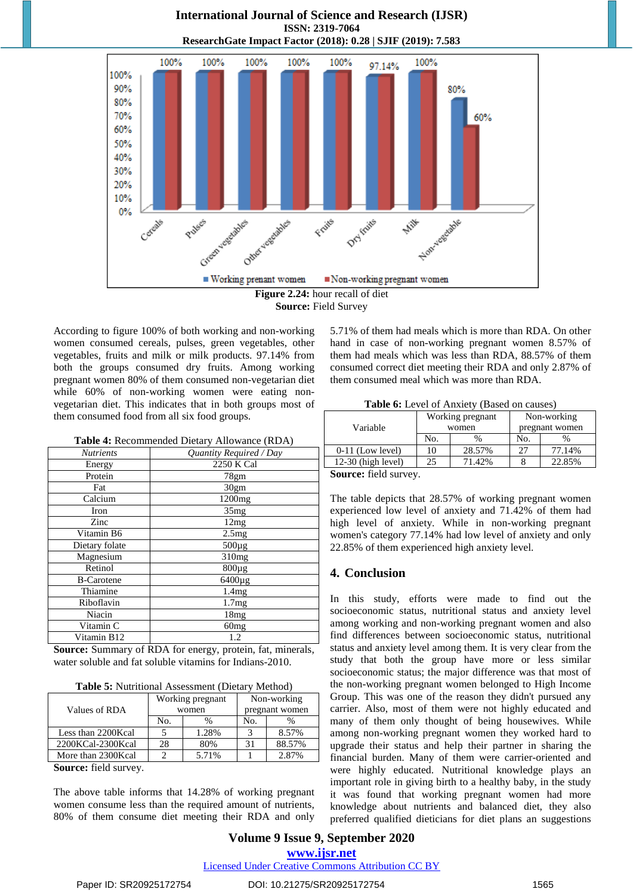

**International Journal of Science and Research (IJSR)**

**Source:** Field Survey

According to figure 100% of both working and non-working women consumed cereals, pulses, green vegetables, other vegetables, fruits and milk or milk products. 97.14% from both the groups consumed dry fruits. Among working pregnant women 80% of them consumed non-vegetarian diet while 60% of non-working women were eating nonvegetarian diet. This indicates that in both groups most of them consumed food from all six food groups.

**Table 4:** Recommended Dietary Allowance (RDA)

| <b>Nutrients</b>  | Quantity Required / Day |
|-------------------|-------------------------|
| Energy            | 2250 K Cal              |
| Protein           | 78gm                    |
| Fat               | 30gm                    |
| Calcium           | 1200mg                  |
| Iron              | 35mg                    |
| Zinc              | 12mg                    |
| Vitamin B6        | 2.5mg                   |
| Dietary folate    | $500\mu g$              |
| Magnesium         | 310mg                   |
| Retinol           | $800\mu$ g              |
| <b>B-Carotene</b> | 6400µg                  |
| Thiamine          | 1.4mg                   |
| Riboflavin        | 1.7mg                   |
| Niacin            | 18mg                    |
| Vitamin C         | 60mg                    |
| Vitamin B12       | 1.2                     |

**Source:** Summary of RDA for energy, protein, fat, minerals, water soluble and fat soluble vitamins for Indians-2010.

| Table 5: Nutritional Assessment (Dietary Method) |  |  |  |  |
|--------------------------------------------------|--|--|--|--|
|--------------------------------------------------|--|--|--|--|

| Values of RDA      |     | Working pregnant<br>women | Non-working<br>pregnant women |        |  |
|--------------------|-----|---------------------------|-------------------------------|--------|--|
|                    | No. | $\frac{0}{0}$             | No.                           |        |  |
| Less than 2200Kcal |     | 1.28%                     |                               | 8.57%  |  |
| 2200KCal-2300Kcal  | 28  | 80%                       |                               | 88.57% |  |
| More than 2300Kcal |     | 5.71%                     |                               | 2.87%  |  |

**Source:** field survey.

The above table informs that 14.28% of working pregnant women consume less than the required amount of nutrients, 80% of them consume diet meeting their RDA and only

5.71% of them had meals which is more than RDA. On other hand in case of non-working pregnant women 8.57% of them had meals which was less than RDA, 88.57% of them consumed correct diet meeting their RDA and only 2.87% of them consumed meal which was more than RDA.

**Table 6:** Level of Anxiety (Based on causes)

|                      |     | Working pregnant | Non-working<br>pregnant women |        |  |
|----------------------|-----|------------------|-------------------------------|--------|--|
| Variable             |     | women            |                               |        |  |
|                      | No. | $\%$             | No.                           | $\%$   |  |
| $0-11$ (Low level)   | 10  | 28.57%           | 27                            | 77.14% |  |
| $12-30$ (high level) | 25  | 71.42%           |                               | 22.85% |  |
| -                    |     |                  |                               |        |  |

**Source:** field survey.

The table depicts that 28.57% of working pregnant women experienced low level of anxiety and 71.42% of them had high level of anxiety. While in non-working pregnant women's category 77.14% had low level of anxiety and only 22.85% of them experienced high anxiety level.

#### **4. Conclusion**

In this study, efforts were made to find out the socioeconomic status, nutritional status and anxiety level among working and non-working pregnant women and also find differences between socioeconomic status, nutritional status and anxiety level among them. It is very clear from the study that both the group have more or less similar socioeconomic status; the major difference was that most of the non-working pregnant women belonged to High Income Group. This was one of the reason they didn't pursued any carrier. Also, most of them were not highly educated and many of them only thought of being housewives. While among non-working pregnant women they worked hard to upgrade their status and help their partner in sharing the financial burden. Many of them were carrier-oriented and were highly educated. Nutritional knowledge plays an important role in giving birth to a healthy baby, in the study it was found that working pregnant women had more knowledge about nutrients and balanced diet, they also preferred qualified dieticians for diet plans an suggestions

**Volume 9 Issue 9, September 2020 www.ijsr.net** Licensed Under Creative Commons Attribution CC BY